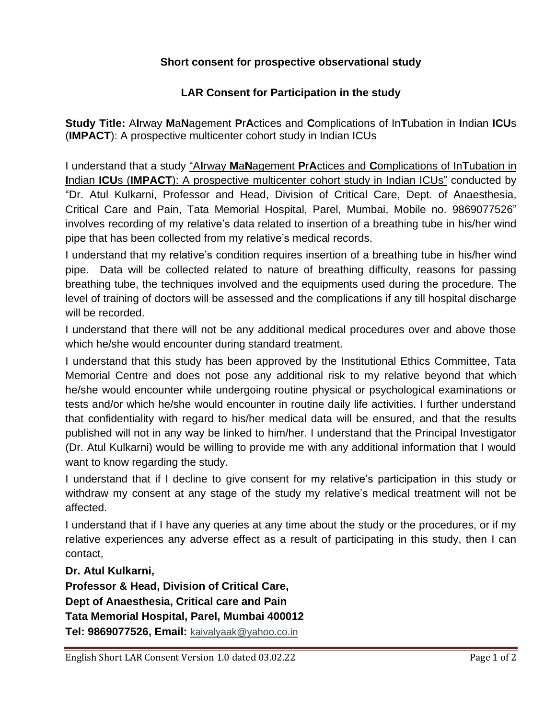## **Short consent for prospective observational study**

## **LAR Consent for Participation in the study**

**Study Title:** A**I**rway **M**a**N**agement **P**r**A**ctices and **C**omplications of In**T**ubation in **I**ndian **ICU**s (**IMPACT**): A prospective multicenter cohort study in Indian ICUs

I understand that a study "A**I**rway **M**a**N**agement **P**r**A**ctices and **C**omplications of In**T**ubation in **I**ndian **ICU**s (**IMPACT**): A prospective multicenter cohort study in Indian ICUs" conducted by "Dr. Atul Kulkarni, Professor and Head, Division of Critical Care, Dept. of Anaesthesia, Critical Care and Pain, Tata Memorial Hospital, Parel, Mumbai, Mobile no. 9869077526" involves recording of my relative's data related to insertion of a breathing tube in his/her wind pipe that has been collected from my relative's medical records.

I understand that my relative's condition requires insertion of a breathing tube in his/her wind pipe. Data will be collected related to nature of breathing difficulty, reasons for passing breathing tube, the techniques involved and the equipments used during the procedure. The level of training of doctors will be assessed and the complications if any till hospital discharge will be recorded.

I understand that there will not be any additional medical procedures over and above those which he/she would encounter during standard treatment.

I understand that this study has been approved by the Institutional Ethics Committee, Tata Memorial Centre and does not pose any additional risk to my relative beyond that which he/she would encounter while undergoing routine physical or psychological examinations or tests and/or which he/she would encounter in routine daily life activities. I further understand that confidentiality with regard to his/her medical data will be ensured, and that the results published will not in any way be linked to him/her. I understand that the Principal Investigator (Dr. Atul Kulkarni) would be willing to provide me with any additional information that I would want to know regarding the study.

I understand that if I decline to give consent for my relative's participation in this study or withdraw my consent at any stage of the study my relative's medical treatment will not be affected.

I understand that if I have any queries at any time about the study or the procedures, or if my relative experiences any adverse effect as a result of participating in this study, then I can contact,

**Dr. Atul Kulkarni,**

**Professor & Head, Division of Critical Care, Dept of Anaesthesia, Critical care and Pain Tata Memorial Hospital, Parel, Mumbai 400012 Tel: 9869077526, Email:** [kaivalyaak@yahoo.co.in](mailto:kaivalyaak@yahoo.co.in)